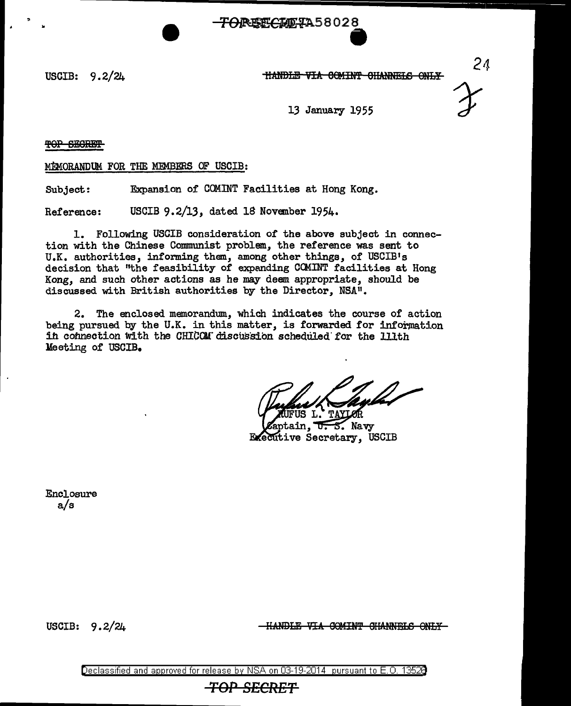<del>TOREFCIDIA</del>58028

..

USCIB: 9.2/2A HA:MBLE VIA 0CMIN'f 0H:ANNms ONJ:.¥



24

13 January 1955

TOP SECRET

MEMORANDUM FOR THE MEMBERS OF USCIB:

Subject: Expansion of COMINT Facilities at Hong Kong.

Reference: USCIB 9.2/13, dated 18 November 1954.

1. Following USCIB consideration *of* the above subject in connection with the Chinese Communist problem, the reference was sent to U.K. authorities, informing them, among other things, of USCIB's decision that "the feasibility of expanding CCMINT facilities at Hong Kong, and such other actions as he may deem appropriate, should be discussed with British authorities by the Director, NSA".

2. The enclosed memorandum, which indicates the course of action being pursued by the U.K. in this matter, is forwarded for information in connection with the CHICOM discussion scheduled for the lllth Meeting of USCIB.

tain. τ. 5. Navv **Executive Secretary, USCIB** 

Enclosure a/s

USCIB: 9.2/24

-HANDLE VIA COMINT CHANNELS ONLY-

Declassified and approved for release by NSA on 03-19-2014 pursuant to E. 0. 1352B

*TOP SECRET*